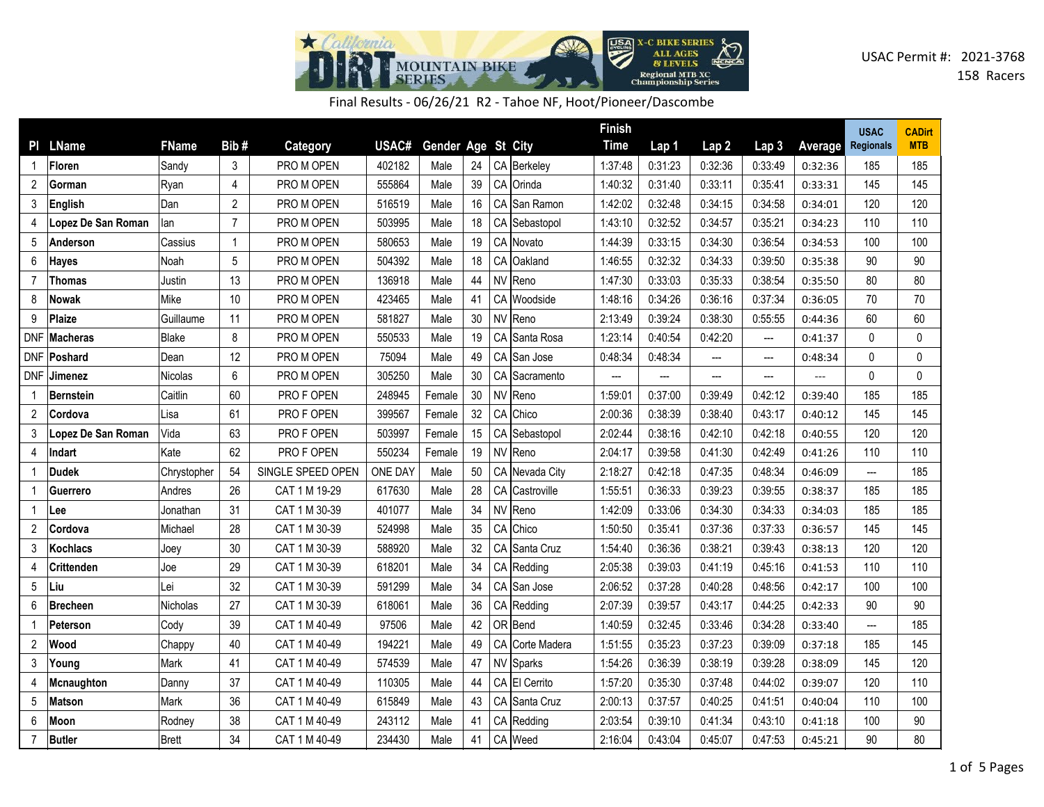

Final Results - 06/26/21 R2 - Tahoe NF, Hoot/Pioneer/Dascombe

|                |                      |                |                |                   |                |                    |    |                 | <b>Finish</b> |         |         |                          |         | <b>USAC</b>              | <b>CADirt</b> |
|----------------|----------------------|----------------|----------------|-------------------|----------------|--------------------|----|-----------------|---------------|---------|---------|--------------------------|---------|--------------------------|---------------|
|                | PI LName             | <b>FName</b>   | Bib#           | Category          | USAC#          | Gender Age St City |    |                 | <b>Time</b>   | Lap 1   | Lap2    | Lap <sub>3</sub>         | Average | <b>Regionals</b>         | <b>MTB</b>    |
|                | Floren               | Sandy          | 3              | PRO M OPEN        | 402182         | Male               | 24 | CA Berkeley     | 1:37:48       | 0:31:23 | 0:32:36 | 0:33:49                  | 0:32:36 | 185                      | 185           |
| 2              | Gorman               | Ryan           | 4              | PRO M OPEN        | 555864         | Male               | 39 | CA Orinda       | 1:40:32       | 0:31:40 | 0:33:11 | 0:35:41                  | 0:33:31 | 145                      | 145           |
| 3              | English              | Dan            | $\overline{2}$ | PRO M OPEN        | 516519         | Male               | 16 | CA San Ramon    | 1:42:02       | 0:32:48 | 0:34:15 | 0:34:58                  | 0:34:01 | 120                      | 120           |
| 4              | Lopez De San Roman   | lan            | $\overline{7}$ | PRO M OPEN        | 503995         | Male               | 18 | CA Sebastopol   | 1:43:10       | 0:32:52 | 0:34:57 | 0:35:21                  | 0:34:23 | 110                      | 110           |
| 5              | Anderson             | Cassius        | $\mathbf{1}$   | PRO M OPEN        | 580653         | Male               | 19 | CA Novato       | 1:44:39       | 0:33:15 | 0:34:30 | 0:36:54                  | 0:34:53 | 100                      | 100           |
| 6              | Hayes                | Noah           | 5              | PRO M OPEN        | 504392         | Male               | 18 | CA Oakland      | 1:46:55       | 0:32:32 | 0:34:33 | 0:39:50                  | 0:35:38 | 90                       | 90            |
| $\overline{7}$ | Thomas               | Justin         | 13             | PRO M OPEN        | 136918         | Male               | 44 | NV Reno         | 1:47:30       | 0:33:03 | 0:35:33 | 0:38:54                  | 0:35:50 | 80                       | 80            |
| 8              | Nowak                | Mike           | 10             | PRO M OPEN        | 423465         | Male               | 41 | CA Woodside     | 1:48:16       | 0:34:26 | 0:36:16 | 0:37:34                  | 0:36:05 | 70                       | 70            |
| 9              | Plaize               | Guillaume      | 11             | PRO M OPEN        | 581827         | Male               | 30 | NV Reno         | 2:13:49       | 0:39:24 | 0:38:30 | 0:55:55                  | 0:44:36 | 60                       | 60            |
| DNF            | ∣Macheras            | <b>Blake</b>   | 8              | PRO M OPEN        | 550533         | Male               | 19 | CA Santa Rosa   | 1:23:14       | 0:40:54 | 0:42:20 | $\overline{\phantom{a}}$ | 0:41:37 | $\mathbf{0}$             | 0             |
|                | DNF   <b>Poshard</b> | Dean           | 12             | PRO M OPEN        | 75094          | Male               | 49 | CA San Jose     | 0:48:34       | 0:48:34 | ---     | ---                      | 0:48:34 | 0                        | $\mathbf{0}$  |
| DNF            | <b>Jimenez</b>       | <b>Nicolas</b> | 6              | PRO M OPEN        | 305250         | Male               | 30 | CA Sacramento   | ---           | ---     | ---     | ---                      | ---     | $\mathbf{0}$             | $\mathbf{0}$  |
| -1             | Bernstein            | Caitlin        | 60             | PRO F OPEN        | 248945         | Female             | 30 | NV Reno         | 1:59:01       | 0:37:00 | 0:39:49 | 0:42:12                  | 0:39:40 | 185                      | 185           |
| $\overline{2}$ | <b>Cordova</b>       | Lisa           | 61             | PRO F OPEN        | 399567         | Female             | 32 | CA Chico        | 2:00:36       | 0:38:39 | 0:38:40 | 0:43:17                  | 0:40:12 | 145                      | 145           |
| 3              | Lopez De San Roman   | Vida           | 63             | PRO F OPEN        | 503997         | Female             | 15 | CA Sebastopol   | 2:02:44       | 0:38:16 | 0:42:10 | 0:42:18                  | 0:40:55 | 120                      | 120           |
| 4              | Indart               | Kate           | 62             | PRO F OPEN        | 550234         | Female             | 19 | NV Reno         | 2:04:17       | 0:39:58 | 0:41:30 | 0:42:49                  | 0:41:26 | 110                      | 110           |
|                | Dudek                | Chrystopher    | 54             | SINGLE SPEED OPEN | <b>ONE DAY</b> | Male               | 50 | CA Nevada City  | 2:18:27       | 0:42:18 | 0:47:35 | 0:48:34                  | 0:46:09 | $\overline{\phantom{a}}$ | 185           |
|                | <b>Guerrero</b>      | Andres         | 26             | CAT 1 M 19-29     | 617630         | Male               | 28 | CA Castroville  | 1:55:51       | 0:36:33 | 0:39:23 | 0:39:55                  | 0:38:37 | 185                      | 185           |
|                | Lee                  | Jonathan       | 31             | CAT 1 M 30-39     | 401077         | Male               | 34 | NV Reno         | 1:42:09       | 0:33:06 | 0:34:30 | 0:34:33                  | 0:34:03 | 185                      | 185           |
| 2              | Cordova              | Michael        | 28             | CAT 1 M 30-39     | 524998         | Male               | 35 | CA Chico        | 1:50:50       | 0:35:41 | 0:37:36 | 0:37:33                  | 0:36:57 | 145                      | 145           |
| 3              | <b>Kochlacs</b>      | Joey           | 30             | CAT 1 M 30-39     | 588920         | Male               | 32 | CA Santa Cruz   | 1:54:40       | 0:36:36 | 0:38:21 | 0:39:43                  | 0:38:13 | 120                      | 120           |
| 4              | <b>Crittenden</b>    | Joe            | 29             | CAT 1 M 30-39     | 618201         | Male               | 34 | CA Redding      | 2:05:38       | 0:39:03 | 0:41:19 | 0:45:16                  | 0:41:53 | 110                      | 110           |
| 5              | Liu                  | Lei            | 32             | CAT 1 M 30-39     | 591299         | Male               | 34 | CA San Jose     | 2:06:52       | 0:37:28 | 0:40:28 | 0:48:56                  | 0:42:17 | 100                      | 100           |
| 6              | Brecheen             | Nicholas       | 27             | CAT 1 M 30-39     | 618061         | Male               | 36 | CA Redding      | 2:07:39       | 0:39:57 | 0:43:17 | 0:44:25                  | 0:42:33 | 90                       | 90            |
|                | Peterson             | Cody           | 39             | CAT 1 M 40-49     | 97506          | Male               | 42 | OR Bend         | 1:40:59       | 0:32:45 | 0:33:46 | 0:34:28                  | 0:33:40 | ---                      | 185           |
| 2              | Wood                 | Chappy         | 40             | CAT 1 M 40-49     | 194221         | Male               | 49 | CA Corte Madera | 1:51:55       | 0:35:23 | 0:37:23 | 0:39:09                  | 0:37:18 | 185                      | 145           |
| 3              | Young                | Mark           | 41             | CAT 1 M 40-49     | 574539         | Male               | 47 | NV Sparks       | 1:54:26       | 0:36:39 | 0:38:19 | 0:39:28                  | 0:38:09 | 145                      | 120           |
| 4              | Mcnaughton           | Danny          | 37             | CAT 1 M 40-49     | 110305         | Male               | 44 | CA El Cerrito   | 1:57:20       | 0:35:30 | 0:37:48 | 0:44:02                  | 0:39:07 | 120                      | 110           |
| 5              | Matson               | Mark           | 36             | CAT 1 M 40-49     | 615849         | Male               | 43 | CA Santa Cruz   | 2:00:13       | 0:37:57 | 0:40:25 | 0:41:51                  | 0:40:04 | 110                      | 100           |
| 6              | Moon                 | Rodney         | 38             | CAT 1 M 40-49     | 243112         | Male               | 41 | CA Redding      | 2:03:54       | 0:39:10 | 0:41:34 | 0:43:10                  | 0:41:18 | 100                      | 90            |
| 7              | Butler               | <b>Brett</b>   | 34             | CAT 1 M 40-49     | 234430         | Male               | 41 | CA Weed         | 2:16:04       | 0:43:04 | 0:45:07 | 0:47:53                  | 0:45:21 | 90                       | 80            |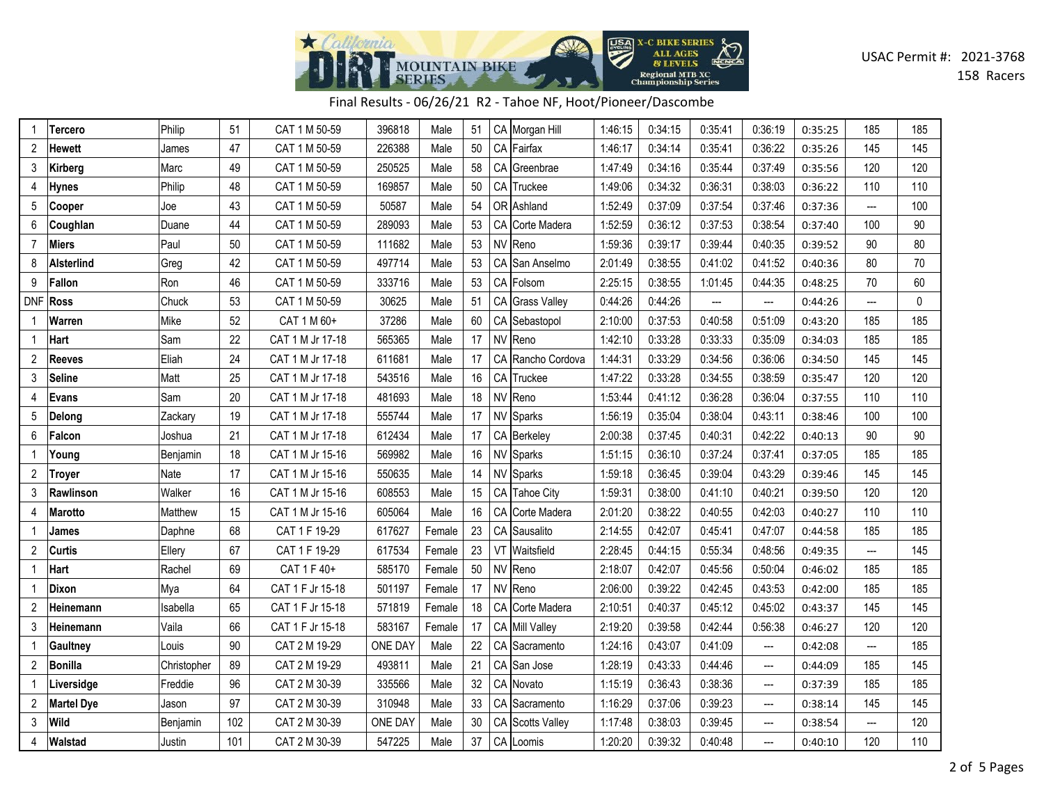

## Final Results - 06/26/21 R2 - Tahoe NF, Hoot/Pioneer/Dascombe

|                | Tercero           | Philip      | 51  | CAT 1 M 50-59    | 396818         | Male   | 51 |    | CA Morgan Hill    | 1:46:15 | 0:34:15 | 0:35:41 | 0:36:19 | 0:35:25 | 185            | 185          |
|----------------|-------------------|-------------|-----|------------------|----------------|--------|----|----|-------------------|---------|---------|---------|---------|---------|----------------|--------------|
| $\overline{2}$ | <b>Hewett</b>     | James       | 47  | CAT 1 M 50-59    | 226388         | Male   | 50 |    | CA Fairfax        | 1:46:17 | 0:34:14 | 0:35:41 | 0:36:22 | 0:35:26 | 145            | 145          |
| 3              | Kirberg           | Marc        | 49  | CAT 1 M 50-59    | 250525         | Male   | 58 |    | CA Greenbrae      | 1:47:49 | 0:34:16 | 0:35:44 | 0:37:49 | 0:35:56 | 120            | 120          |
| 4              | Hynes             | Philip      | 48  | CAT 1 M 50-59    | 169857         | Male   | 50 |    | CA Truckee        | 1:49:06 | 0:34:32 | 0:36:31 | 0:38:03 | 0:36:22 | 110            | 110          |
| 5              | Cooper            | Joe         | 43  | CAT 1 M 50-59    | 50587          | Male   | 54 |    | OR Ashland        | 1:52:49 | 0:37:09 | 0:37:54 | 0:37:46 | 0:37:36 | $\overline{a}$ | 100          |
| 6              | Coughlan          | Duane       | 44  | CAT 1 M 50-59    | 289093         | Male   | 53 |    | CA Corte Madera   | 1:52:59 | 0:36:12 | 0:37:53 | 0:38:54 | 0:37:40 | 100            | 90           |
| 7              | Miers             | Paul        | 50  | CAT 1 M 50-59    | 111682         | Male   | 53 |    | NV Reno           | 1:59:36 | 0:39:17 | 0:39:44 | 0:40:35 | 0:39:52 | 90             | 80           |
| 8              | <b>Alsterlind</b> | Greg        | 42  | CAT 1 M 50-59    | 497714         | Male   | 53 |    | CA San Anselmo    | 2:01:49 | 0:38:55 | 0:41:02 | 0:41:52 | 0:40:36 | 80             | 70           |
| 9              | Fallon            | Ron         | 46  | CAT 1 M 50-59    | 333716         | Male   | 53 | CA | Folsom            | 2:25:15 | 0:38:55 | 1:01:45 | 0:44:35 | 0:48:25 | 70             | 60           |
| <b>DNF</b>     | <b>Ross</b>       | Chuck       | 53  | CAT 1 M 50-59    | 30625          | Male   | 51 |    | CA Grass Valley   | 0:44:26 | 0:44:26 | ---     | ---     | 0:44:26 | ---            | $\mathbf{0}$ |
|                | Warren            | Mike        | 52  | CAT 1 M 60+      | 37286          | Male   | 60 |    | CA Sebastopol     | 2:10:00 | 0:37:53 | 0:40:58 | 0:51:09 | 0:43:20 | 185            | 185          |
|                | Hart              | Sam         | 22  | CAT 1 M Jr 17-18 | 565365         | Male   | 17 |    | NV Reno           | 1:42:10 | 0:33:28 | 0:33:33 | 0:35:09 | 0:34:03 | 185            | 185          |
| 2              | <b>Reeves</b>     | Eliah       | 24  | CAT 1 M Jr 17-18 | 611681         | Male   | 17 |    | CA Rancho Cordova | 1:44:31 | 0:33:29 | 0:34:56 | 0:36:06 | 0:34:50 | 145            | 145          |
| 3              | <b>Seline</b>     | Matt        | 25  | CAT 1 M Jr 17-18 | 543516         | Male   | 16 |    | CA Truckee        | 1:47:22 | 0:33:28 | 0:34:55 | 0:38:59 | 0:35:47 | 120            | 120          |
| 4              | <b>Evans</b>      | Sam         | 20  | CAT 1 M Jr 17-18 | 481693         | Male   | 18 |    | NV Reno           | 1:53:44 | 0:41:12 | 0:36:28 | 0:36:04 | 0:37:55 | 110            | 110          |
| 5              | Delong            | Zackary     | 19  | CAT 1 M Jr 17-18 | 555744         | Male   | 17 |    | NV Sparks         | 1:56:19 | 0:35:04 | 0:38:04 | 0:43:11 | 0:38:46 | 100            | 100          |
| 6              | Falcon            | Joshua      | 21  | CAT 1 M Jr 17-18 | 612434         | Male   | 17 |    | CA Berkeley       | 2:00:38 | 0:37:45 | 0:40:31 | 0:42:22 | 0:40:13 | 90             | 90           |
| 1              | Young             | Benjamin    | 18  | CAT 1 M Jr 15-16 | 569982         | Male   | 16 |    | NV Sparks         | 1:51:15 | 0:36:10 | 0:37:24 | 0:37:41 | 0:37:05 | 185            | 185          |
| 2              | <b>Troyer</b>     | Nate        | 17  | CAT 1 M Jr 15-16 | 550635         | Male   | 14 |    | NV Sparks         | 1:59:18 | 0:36:45 | 0:39:04 | 0:43:29 | 0:39:46 | 145            | 145          |
| 3              | Rawlinson         | Walker      | 16  | CAT 1 M Jr 15-16 | 608553         | Male   | 15 |    | CA Tahoe City     | 1:59:31 | 0:38:00 | 0:41:10 | 0:40:21 | 0:39:50 | 120            | 120          |
|                | Marotto           | Matthew     | 15  | CAT 1 M Jr 15-16 | 605064         | Male   | 16 |    | CA Corte Madera   | 2:01:20 | 0:38:22 | 0:40:55 | 0:42:03 | 0:40:27 | 110            | 110          |
|                | James             | Daphne      | 68  | CAT 1 F 19-29    | 617627         | Female | 23 |    | CA Sausalito      | 2:14:55 | 0:42:07 | 0:45:41 | 0:47:07 | 0:44:58 | 185            | 185          |
| $\overline{2}$ | <b>Curtis</b>     | Ellery      | 67  | CAT 1 F 19-29    | 617534         | Female | 23 |    | VT Waitsfield     | 2:28:45 | 0:44:15 | 0:55:34 | 0:48:56 | 0:49:35 | ---            | 145          |
| 1              | Hart              | Rachel      | 69  | CAT 1 F 40+      | 585170         | Female | 50 |    | NV Reno           | 2:18:07 | 0:42:07 | 0:45:56 | 0:50:04 | 0:46:02 | 185            | 185          |
|                | <b>Dixon</b>      | Mya         | 64  | CAT 1 F Jr 15-18 | 501197         | Female | 17 |    | NV Reno           | 2:06:00 | 0:39:22 | 0:42:45 | 0:43:53 | 0:42:00 | 185            | 185          |
| 2              | Heinemann         | Isabella    | 65  | CAT 1 F Jr 15-18 | 571819         | Female | 18 |    | CA Corte Madera   | 2:10:51 | 0:40:37 | 0:45:12 | 0:45:02 | 0:43:37 | 145            | 145          |
| 3              | Heinemann         | Vaila       | 66  | CAT 1 F Jr 15-18 | 583167         | Female | 17 |    | CA Mill Valley    | 2:19:20 | 0:39:58 | 0:42:44 | 0:56:38 | 0:46:27 | 120            | 120          |
|                | Gaultney          | Louis       | 90  | CAT 2 M 19-29    | ONE DAY        | Male   | 22 |    | CA Sacramento     | 1:24:16 | 0:43:07 | 0:41:09 | ---     | 0:42:08 | $---$          | 185          |
| 2              | Bonilla           | Christopher | 89  | CAT 2 M 19-29    | 493811         | Male   | 21 |    | CA San Jose       | 1:28:19 | 0:43:33 | 0:44:46 | ---     | 0:44:09 | 185            | 145          |
| 1              | Liversidge        | Freddie     | 96  | CAT 2 M 30-39    | 335566         | Male   | 32 |    | CA Novato         | 1:15:19 | 0:36:43 | 0:38:36 | ---     | 0:37:39 | 185            | 185          |
| 2              | <b>Martel Dye</b> | Jason       | 97  | CAT 2 M 30-39    | 310948         | Male   | 33 |    | CA Sacramento     | 1:16:29 | 0:37:06 | 0:39:23 | ---     | 0:38:14 | 145            | 145          |
| 3              | Wild              | Benjamin    | 102 | CAT 2 M 30-39    | <b>ONE DAY</b> | Male   | 30 |    | CA Scotts Valley  | 1:17:48 | 0:38:03 | 0:39:45 | ---     | 0:38:54 | ---            | 120          |
| 4              | Walstad           | Justin      | 101 | CAT 2 M 30-39    | 547225         | Male   | 37 |    | CA Loomis         | 1:20:20 | 0:39:32 | 0:40:48 | ---     | 0:40:10 | 120            | 110          |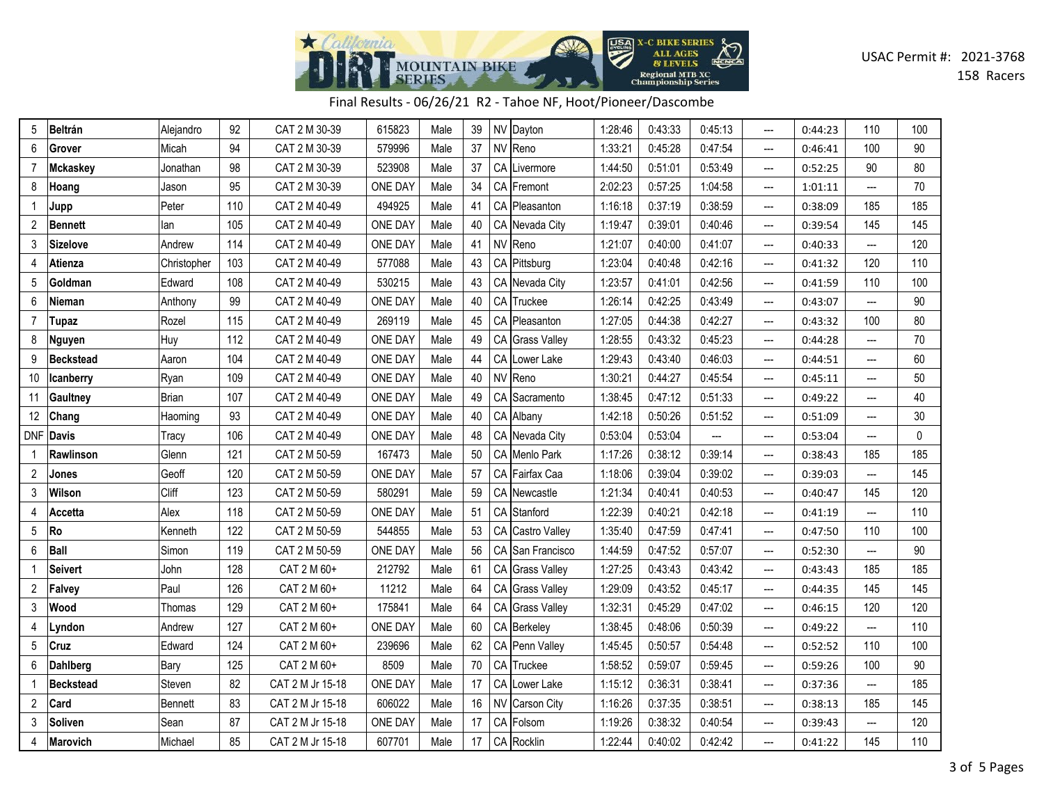

| Final Results - 06/26/21 R2 - Tahoe NF, Hoot/Pioneer/Dascombe |  |  |  |
|---------------------------------------------------------------|--|--|--|
|---------------------------------------------------------------|--|--|--|

| 5              | <b>Beltrán</b>   | Alejandro      | 92  | CAT 2 M 30-39    | 615823         | Male | 39 | NV Dayton        | 1:28:46 | 0:43:33 | 0:45:13 | $\overline{a}$           | 0:44:23 | 110                      | 100 |
|----------------|------------------|----------------|-----|------------------|----------------|------|----|------------------|---------|---------|---------|--------------------------|---------|--------------------------|-----|
| 6              | Grover           | Micah          | 94  | CAT 2 M 30-39    | 579996         | Male | 37 | NV Reno          | 1:33:21 | 0:45:28 | 0:47:54 | $\frac{1}{2}$            | 0:46:41 | 100                      | 90  |
| 7              | Mckaskey         | Jonathan       | 98  | CAT 2 M 30-39    | 523908         | Male | 37 | CA Livermore     | 1:44:50 | 0:51:01 | 0:53:49 | ---                      | 0:52:25 | 90                       | 80  |
| 8              | Hoang            | Jason          | 95  | CAT 2 M 30-39    | ONE DAY        | Male | 34 | CA Fremont       | 2:02:23 | 0:57:25 | 1:04:58 | $---$                    | 1:01:11 | ---                      | 70  |
| 1              | Jupp             | Peter          | 110 | CAT 2 M 40-49    | 494925         | Male | 41 | CA Pleasanton    | 1:16:18 | 0:37:19 | 0:38:59 | ---                      | 0:38:09 | 185                      | 185 |
| $\overline{2}$ | <b>Bennett</b>   | lan            | 105 | CAT 2 M 40-49    | <b>ONE DAY</b> | Male | 40 | CA Nevada City   | 1:19:47 | 0:39:01 | 0:40:46 | ---                      | 0:39:54 | 145                      | 145 |
| 3              | <b>Sizelove</b>  | Andrew         | 114 | CAT 2 M 40-49    | ONE DAY        | Male | 41 | NV Reno          | 1:21:07 | 0:40:00 | 0:41:07 | $\overline{\phantom{a}}$ | 0:40:33 | ---                      | 120 |
| 4              | Atienza          | Christopher    | 103 | CAT 2 M 40-49    | 577088         | Male | 43 | CA Pittsburg     | 1:23:04 | 0:40:48 | 0:42:16 | $---$                    | 0:41:32 | 120                      | 110 |
| 5              | Goldman          | Edward         | 108 | CAT 2 M 40-49    | 530215         | Male | 43 | CA Nevada City   | 1:23:57 | 0:41:01 | 0:42:56 | ---                      | 0:41:59 | 110                      | 100 |
| 6              | Nieman           | Anthony        | 99  | CAT 2 M 40-49    | ONE DAY        | Male | 40 | CA Truckee       | 1:26:14 | 0:42:25 | 0:43:49 | $\hspace{0.05cm} \ldots$ | 0:43:07 | ---                      | 90  |
| 7              | Tupaz            | Rozel          | 115 | CAT 2 M 40-49    | 269119         | Male | 45 | CA Pleasanton    | 1:27:05 | 0:44:38 | 0:42:27 | ---                      | 0:43:32 | 100                      | 80  |
| 8              | Nguyen           | Huy            | 112 | CAT 2 M 40-49    | ONE DAY        | Male | 49 | CA Grass Valley  | 1:28:55 | 0:43:32 | 0:45:23 | $---$                    | 0:44:28 | ---                      | 70  |
| 9              | <b>Beckstead</b> | Aaron          | 104 | CAT 2 M 40-49    | <b>ONE DAY</b> | Male | 44 | CA Lower Lake    | 1:29:43 | 0:43:40 | 0:46:03 | ---                      | 0:44:51 | ---                      | 60  |
| 10             | Icanberry        | Ryan           | 109 | CAT 2 M 40-49    | ONE DAY        | Male | 40 | NV Reno          | 1:30:21 | 0:44:27 | 0:45:54 | ---                      | 0:45:11 | ---                      | 50  |
| 11             | Gaultney         | <b>Brian</b>   | 107 | CAT 2 M 40-49    | ONE DAY        | Male | 49 | CA Sacramento    | 1:38:45 | 0:47:12 | 0:51:33 | ---                      | 0:49:22 | ---                      | 40  |
| 12             | Chang            | Haoming        | 93  | CAT 2 M 40-49    | ONE DAY        | Male | 40 | CA Albany        | 1:42:18 | 0:50:26 | 0:51:52 | $---$                    | 0:51:09 | ---                      | 30  |
| <b>DNF</b>     | <b>Davis</b>     | Tracy          | 106 | CAT 2 M 40-49    | <b>ONE DAY</b> | Male | 48 | CA Nevada City   | 0:53:04 | 0:53:04 | ---     | ---                      | 0:53:04 | ---                      | 0   |
|                | Rawlinson        | Glenn          | 121 | CAT 2 M 50-59    | 167473         | Male | 50 | CA Menlo Park    | 1:17:26 | 0:38:12 | 0:39:14 | $---$                    | 0:38:43 | 185                      | 185 |
| 2              | Jones            | Geoff          | 120 | CAT 2 M 50-59    | ONE DAY        | Male | 57 | CA Fairfax Caa   | 1:18:06 | 0:39:04 | 0:39:02 | $---$                    | 0:39:03 | ---                      | 145 |
| 3              | Wilson           | Cliff          | 123 | CAT 2 M 50-59    | 580291         | Male | 59 | CA Newcastle     | 1:21:34 | 0:40:41 | 0:40:53 | ---                      | 0:40:47 | 145                      | 120 |
| 4              | Accetta          | Alex           | 118 | CAT 2 M 50-59    | ONE DAY        | Male | 51 | CA Stanford      | 1:22:39 | 0:40:21 | 0:42:18 | $\hspace{0.05cm} \ldots$ | 0:41:19 | $\overline{\phantom{a}}$ | 110 |
| 5              | Ro               | Kenneth        | 122 | CAT 2 M 50-59    | 544855         | Male | 53 | CA Castro Valley | 1:35:40 | 0:47:59 | 0:47:41 | $\overline{\phantom{a}}$ | 0:47:50 | 110                      | 100 |
| 6              | Ball             | Simon          | 119 | CAT 2 M 50-59    | <b>ONE DAY</b> | Male | 56 | CA San Francisco | 1:44:59 | 0:47:52 | 0:57:07 | ---                      | 0:52:30 | ---                      | 90  |
|                | Seivert          | John           | 128 | CAT 2 M 60+      | 212792         | Male | 61 | CA Grass Valley  | 1:27:25 | 0:43:43 | 0:43:42 | ---                      | 0:43:43 | 185                      | 185 |
| 2              | Falvey           | Paul           | 126 | CAT 2 M 60+      | 11212          | Male | 64 | CA Grass Valley  | 1:29:09 | 0:43:52 | 0:45:17 | ---                      | 0:44:35 | 145                      | 145 |
| 3              | Wood             | Thomas         | 129 | CAT 2 M 60+      | 175841         | Male | 64 | CA Grass Valley  | 1:32:31 | 0:45:29 | 0:47:02 | $\hspace{0.05cm} \ldots$ | 0:46:15 | 120                      | 120 |
| 4              | Lyndon           | Andrew         | 127 | CAT 2 M 60+      | <b>ONE DAY</b> | Male | 60 | CA Berkeley      | 1:38:45 | 0:48:06 | 0:50:39 | $\overline{a}$           | 0:49:22 | ---                      | 110 |
| 5              | Cruz             | Edward         | 124 | CAT 2 M 60+      | 239696         | Male | 62 | CA Penn Valley   | 1:45:45 | 0:50:57 | 0:54:48 | $\hspace{0.05cm} \ldots$ | 0:52:52 | 110                      | 100 |
| 6              | Dahlberg         | Bary           | 125 | CAT 2 M 60+      | 8509           | Male | 70 | CA Truckee       | 1:58:52 | 0:59:07 | 0:59:45 | $\overline{\phantom{a}}$ | 0:59:26 | 100                      | 90  |
| 1              | <b>Beckstead</b> | Steven         | 82  | CAT 2 M Jr 15-18 | <b>ONE DAY</b> | Male | 17 | CA Lower Lake    | 1:15:12 | 0:36:31 | 0:38:41 | $\hspace{0.05cm} \ldots$ | 0:37:36 | ---                      | 185 |
| 2              | Card             | <b>Bennett</b> | 83  | CAT 2 M Jr 15-18 | 606022         | Male | 16 | NV Carson City   | 1:16:26 | 0:37:35 | 0:38:51 | ---                      | 0:38:13 | 185                      | 145 |
| 3              | Soliven          | Sean           | 87  | CAT 2 M Jr 15-18 | ONE DAY        | Male | 17 | CA Folsom        | 1:19:26 | 0:38:32 | 0:40:54 | $\overline{a}$           | 0:39:43 | ---                      | 120 |
| 4              | Marovich         | Michael        | 85  | CAT 2 M Jr 15-18 | 607701         | Male | 17 | CA Rocklin       | 1:22:44 | 0:40:02 | 0:42:42 | ---                      | 0:41:22 | 145                      | 110 |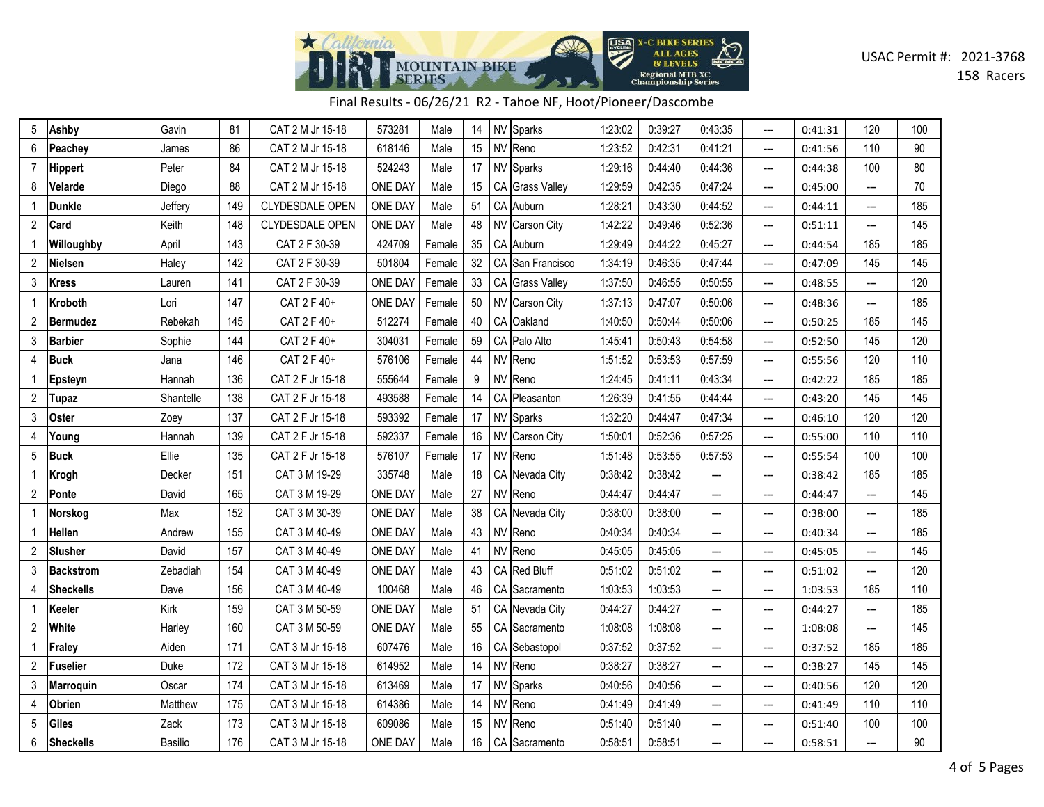

| Final Results - 06/26/21 R2 - Tahoe NF, Hoot/Pioneer/Dascombe |  |  |
|---------------------------------------------------------------|--|--|
|---------------------------------------------------------------|--|--|

| 5              | Ashby            | Gavin     | 81  | CAT 2 M Jr 15-18       | 573281         | Male   | 14 | NV        | Sparks              | 1:23:02 | 0:39:27 | 0:43:35                  |                          | 0:41:31 | 120                      | 100 |
|----------------|------------------|-----------|-----|------------------------|----------------|--------|----|-----------|---------------------|---------|---------|--------------------------|--------------------------|---------|--------------------------|-----|
| 6              | Peachey          | James     | 86  | CAT 2 M Jr 15-18       | 618146         | Male   | 15 |           | NV Reno             | 1:23:52 | 0:42:31 | 0:41:21                  | ---                      | 0:41:56 | 110                      | 90  |
| 7              | <b>Hippert</b>   | Peter     | 84  | CAT 2 M Jr 15-18       | 524243         | Male   | 17 |           | NV Sparks           | 1:29:16 | 0:44:40 | 0:44:36                  | ---                      | 0:44:38 | 100                      | 80  |
| 8              | Velarde          | Diego     | 88  | CAT 2 M Jr 15-18       | ONE DAY        | Male   | 15 |           | CA Grass Valley     | 1:29:59 | 0:42:35 | 0:47:24                  | ---                      | 0:45:00 | ---                      | 70  |
|                | <b>Dunkle</b>    | Jeffery   | 149 | CLYDESDALE OPEN        | ONE DAY        | Male   | 51 |           | CA Auburn           | 1:28:21 | 0:43:30 | 0:44:52                  | $\overline{a}$           | 0:44:11 | ---                      | 185 |
| 2              | Card             | Keith     | 148 | <b>CLYDESDALE OPEN</b> | ONE DAY        | Male   | 48 |           | NV Carson City      | 1:42:22 | 0:49:46 | 0:52:36                  | ---                      | 0:51:11 | $\overline{\phantom{a}}$ | 145 |
|                | Willoughby       | April     | 143 | CAT 2 F 30-39          | 424709         | Female | 35 |           | CA Auburn           | 1:29:49 | 0:44:22 | 0:45:27                  | ---                      | 0:44:54 | 185                      | 185 |
| 2              | Nielsen          | Haley     | 142 | CAT 2 F 30-39          | 501804         | Female | 32 |           | CA San Francisco    | 1:34:19 | 0:46:35 | 0:47:44                  | ---                      | 0:47:09 | 145                      | 145 |
| 3              | Kress            | Lauren    | 141 | CAT 2 F 30-39          | ONE DAY        | Female | 33 | CA        | <b>Grass Valley</b> | 1:37:50 | 0:46:55 | 0:50:55                  | ---                      | 0:48:55 | ---                      | 120 |
| 1              | Kroboth          | Lori      | 147 | CAT 2 F 40+            | ONE DAY        | Female | 50 |           | NV Carson City      | 1:37:13 | 0:47:07 | 0:50:06                  | ---                      | 0:48:36 | $\overline{\phantom{a}}$ | 185 |
| 2              | <b>Bermudez</b>  | Rebekah   | 145 | CAT 2 F 40+            | 512274         | Female | 40 |           | CA Oakland          | 1:40:50 | 0:50:44 | 0:50:06                  | $---$                    | 0:50:25 | 185                      | 145 |
| 3              | <b>Barbier</b>   | Sophie    | 144 | CAT 2 F 40+            | 304031         | Female | 59 | CA        | Palo Alto           | 1:45:41 | 0:50:43 | 0:54:58                  | ---                      | 0:52:50 | 145                      | 120 |
| 4              | <b>Buck</b>      | Jana      | 146 | CAT 2 F 40+            | 576106         | Female | 44 | <b>NV</b> | Reno                | 1:51:52 | 0:53:53 | 0:57:59                  | $---$                    | 0:55:56 | 120                      | 110 |
| 1              | Epsteyn          | Hannah    | 136 | CAT 2 F Jr 15-18       | 555644         | Female | 9  |           | NV Reno             | 1:24:45 | 0:41:11 | 0:43:34                  | ---                      | 0:42:22 | 185                      | 185 |
| 2              | Tupaz            | Shantelle | 138 | CAT 2 F Jr 15-18       | 493588         | Female | 14 |           | CA Pleasanton       | 1:26:39 | 0:41:55 | 0:44:44                  | ---                      | 0:43:20 | 145                      | 145 |
| 3              | Oster            | Zoey      | 137 | CAT 2 F Jr 15-18       | 593392         | Female | 17 |           | NV Sparks           | 1:32:20 | 0:44:47 | 0:47:34                  | ---                      | 0:46:10 | 120                      | 120 |
| 4              | Young            | Hannah    | 139 | CAT 2 F Jr 15-18       | 592337         | Female | 16 |           | NV Carson City      | 1:50:01 | 0:52:36 | 0:57:25                  | $\frac{1}{2}$            | 0:55:00 | 110                      | 110 |
| 5              | <b>Buck</b>      | Ellie     | 135 | CAT 2 F Jr 15-18       | 576107         | Female | 17 |           | NV Reno             | 1:51:48 | 0:53:55 | 0:57:53                  | $\overline{\phantom{a}}$ | 0:55:54 | 100                      | 100 |
|                | Krogh            | Decker    | 151 | CAT 3 M 19-29          | 335748         | Male   | 18 |           | CA Nevada City      | 0:38:42 | 0:38:42 | $\hspace{0.05cm} \ldots$ | $\overline{a}$           | 0:38:42 | 185                      | 185 |
| $\overline{2}$ | Ponte            | David     | 165 | CAT 3 M 19-29          | <b>ONE DAY</b> | Male   | 27 |           | NV Reno             | 0:44:47 | 0:44:47 | $\overline{\phantom{a}}$ | ---                      | 0:44:47 | ---                      | 145 |
|                | Norskog          | Max       | 152 | CAT 3 M 30-39          | ONE DAY        | Male   | 38 |           | CA Nevada City      | 0:38:00 | 0:38:00 | $\hspace{0.05cm} \ldots$ | ---                      | 0:38:00 | $\hspace{0.05cm} \ldots$ | 185 |
| 1              | Hellen           | Andrew    | 155 | CAT 3 M 40-49          | ONE DAY        | Male   | 43 |           | NV Reno             | 0:40:34 | 0:40:34 | ---                      | ---                      | 0:40:34 | ---                      | 185 |
| 2              | Slusher          | David     | 157 | CAT 3 M 40-49          | ONE DAY        | Male   | 41 |           | NV Reno             | 0:45:05 | 0:45:05 | ---                      | ---                      | 0:45:05 | ---                      | 145 |
| 3              | <b>Backstrom</b> | Zebadiah  | 154 | CAT 3 M 40-49          | ONE DAY        | Male   | 43 |           | CA Red Bluff        | 0:51:02 | 0:51:02 | $\hspace{0.05cm} \ldots$ | $\overline{\phantom{a}}$ | 0:51:02 | ---                      | 120 |
| 4              | <b>Sheckells</b> | Dave      | 156 | CAT 3 M 40-49          | 100468         | Male   | 46 |           | CA Sacramento       | 1:03:53 | 1:03:53 | $\overline{\phantom{a}}$ | ---                      | 1:03:53 | 185                      | 110 |
| 1              | Keeler           | Kirk      | 159 | CAT 3 M 50-59          | <b>ONE DAY</b> | Male   | 51 |           | CA Nevada City      | 0:44:27 | 0:44:27 | $\overline{\phantom{a}}$ | ---                      | 0:44:27 | ---                      | 185 |
| 2              | White            | Harley    | 160 | CAT 3 M 50-59          | ONE DAY        | Male   | 55 | CA        | Sacramento          | 1:08:08 | 1:08:08 | ---                      | $\overline{a}$           | 1:08:08 | ---                      | 145 |
|                | Fraley           | Aiden     | 171 | CAT 3 M Jr 15-18       | 607476         | Male   | 16 |           | CA Sebastopol       | 0:37:52 | 0:37:52 | $\hspace{0.05cm} \ldots$ | ---                      | 0:37:52 | 185                      | 185 |
| 2              | <b>Fuselier</b>  | Duke      | 172 | CAT 3 M Jr 15-18       | 614952         | Male   | 14 |           | NV Reno             | 0:38:27 | 0:38:27 | $\overline{\phantom{a}}$ | ---                      | 0:38:27 | 145                      | 145 |
| 3              | <b>Marroquin</b> | Oscar     | 174 | CAT 3 M Jr 15-18       | 613469         | Male   | 17 |           | NV Sparks           | 0:40:56 | 0:40:56 | $\overline{\phantom{a}}$ | ---                      | 0:40:56 | 120                      | 120 |
| 4              | Obrien           | Matthew   | 175 | CAT 3 M Jr 15-18       | 614386         | Male   | 14 | <b>NV</b> | Reno                | 0:41:49 | 0:41:49 | $\overline{\phantom{a}}$ | $\overline{a}$           | 0:41:49 | 110                      | 110 |
| 5              | <b>Giles</b>     | Zack      | 173 | CAT 3 M Jr 15-18       | 609086         | Male   | 15 |           | NV Reno             | 0:51:40 | 0:51:40 | $\overline{\phantom{a}}$ | $---$                    | 0:51:40 | 100                      | 100 |
| 6              | <b>Sheckells</b> | Basilio   | 176 | CAT 3 M Jr 15-18       | <b>ONE DAY</b> | Male   | 16 |           | CA Sacramento       | 0:58:51 | 0:58:51 | ---                      | $\overline{a}$           | 0:58:51 | ---                      | 90  |